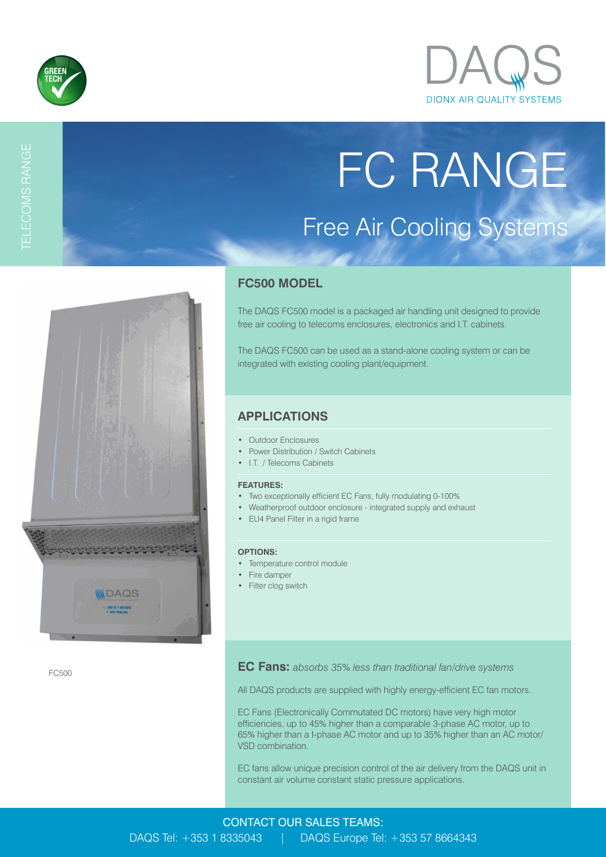



FC RANGE

Free Air Cooling Systems

# TELECOMS RANGE



FC500

### **FC500 MODEL**

The DAQS FC500 model is a packaged air handling unit designed to provide free air cooling to telecoms enclosures, electronics and I.T. cabinets.

The DAQS FC500 can be used as a stand-alone cooling system or can be integrated with existing cooling plant/equipment.

## **APPLICATIONS**

- Outdoor Enclosures
- Power Distribution / Switch Cabinets
- I.T. / Telecoms Cabinets

#### **FEATURES:**

- Two exceptionally efficient EC Fans, fully modulating 0-100%
- Weatherproof outdoor enclosure integrated supply and exhaust
- EU4 Panel Filter in a rigid frame

#### **OPTIONS:**

- Temperature control module
- Fire damper
- Filter clog switch

**EC Fans:** *absorbs 35% less than traditional fan/drive systems*

All DAQS products are supplied with highly energy-efficient EC fan motors.

EC Fans (Electronically Commutated DC motors) have very high motor efficiencies, up to 45% higher than a comparable 3-phase AC motor, up to 65% higher than a I-phase AC motor and up to 35% higher than an AC motor/ VSD combination.

EC fans allow unique precision control of the air delivery from the DAQS unit in constant air volume constant static pressure applications.